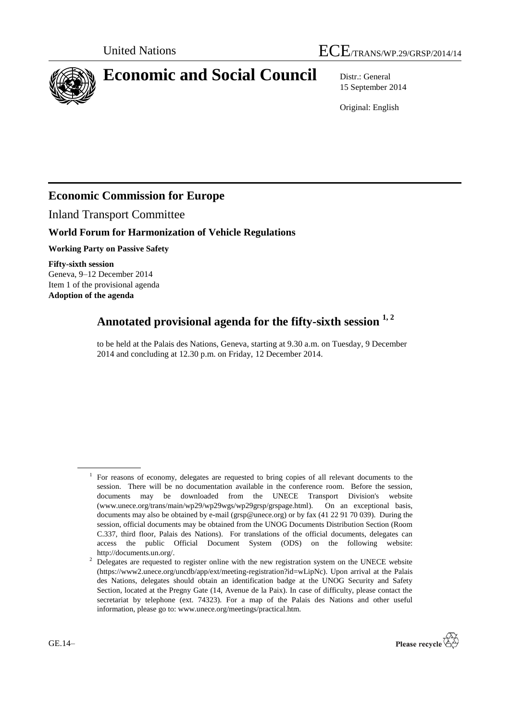

# **Economic and Social Council** Distr.: General

15 September 2014

Original: English

## **Economic Commission for Europe**

Inland Transport Committee

### **World Forum for Harmonization of Vehicle Regulations**

**Working Party on Passive Safety**

**Fifty-sixth session**  Geneva, 9–12 December 2014 Item 1 of the provisional agenda **Adoption of the agenda**

## **Annotated provisional agenda for the fifty-sixth session 1, <sup>2</sup>**

to be held at the Palais des Nations, Geneva, starting at 9.30 a.m. on Tuesday, 9 December 2014 and concluding at 12.30 p.m. on Friday, 12 December 2014.

<sup>&</sup>lt;sup>2</sup> Delegates are requested to register online with the new registration system on the UNECE website (https://www2.unece.org/uncdb/app/ext/meeting-registration?id=wLipNc). Upon arrival at the Palais des Nations, delegates should obtain an identification badge at the UNOG Security and Safety Section, located at the Pregny Gate (14, Avenue de la Paix). In case of difficulty, please contact the secretariat by telephone (ext. 74323). For a map of the Palais des Nations and other useful information, please go to: www.unece.org/meetings/practical.htm.



<sup>&</sup>lt;sup>1</sup> For reasons of economy, delegates are requested to bring copies of all relevant documents to the session. There will be no documentation available in the conference room. Before the session, documents may be downloaded from the UNECE Transport Division's website [\(www.unece.org/trans/main/wp29/wp29wgs/wp29grsp/grspage.html\)](http://www.unece.org/trans/main/wp29/wp29wgs/wp29grpe/grpeage.html). On an exceptional basis, documents may also be obtained by e-mail [\(grsp@unece.org\)](mailto:grsg@unece.org) or by fax (41 22 91 70 039). During the session, official documents may be obtained from the UNOG Documents Distribution Section (Room C.337, third floor, Palais des Nations). For translations of the official documents, delegates can access the public Official Document System (ODS) on the following website: [http://documents.un.org/.](http://documents.un.org/)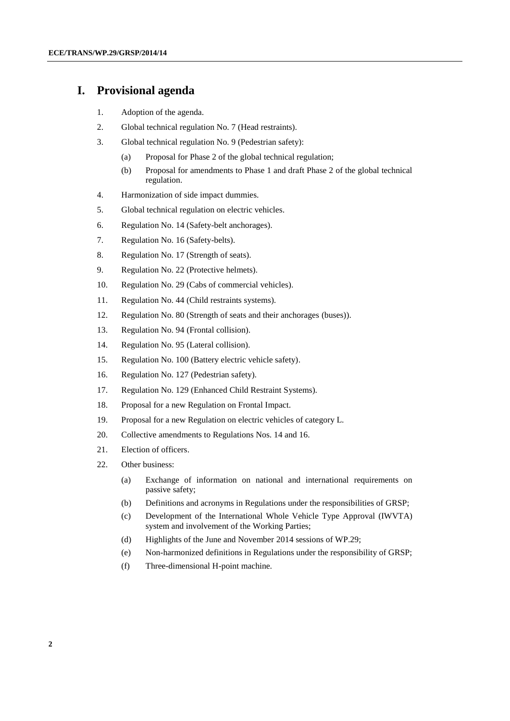### **I. Provisional agenda**

- 1. Adoption of the agenda.
- 2. Global technical regulation No. 7 (Head restraints).
- 3. Global technical regulation No. 9 (Pedestrian safety):
	- (a) Proposal for Phase 2 of the global technical regulation;
	- (b) Proposal for amendments to Phase 1 and draft Phase 2 of the global technical regulation.
- 4. Harmonization of side impact dummies.
- 5. Global technical regulation on electric vehicles.
- 6. Regulation No. 14 (Safety-belt anchorages).
- 7. Regulation No. 16 (Safety-belts).
- 8. Regulation No. 17 (Strength of seats).
- 9. Regulation No. 22 (Protective helmets).
- 10. Regulation No. 29 (Cabs of commercial vehicles).
- 11. Regulation No. 44 (Child restraints systems).
- 12. Regulation No. 80 (Strength of seats and their anchorages (buses)).
- 13. Regulation No. 94 (Frontal collision).
- 14. Regulation No. 95 (Lateral collision).
- 15. Regulation No. 100 (Battery electric vehicle safety).
- 16. Regulation No. 127 (Pedestrian safety).
- 17. Regulation No. 129 (Enhanced Child Restraint Systems).
- 18. Proposal for a new Regulation on Frontal Impact.
- 19. Proposal for a new Regulation on electric vehicles of category L.
- 20. Collective amendments to Regulations Nos. 14 and 16.
- 21. Election of officers.
- 22. Other business:
	- (a) Exchange of information on national and international requirements on passive safety;
	- (b) Definitions and acronyms in Regulations under the responsibilities of GRSP;
	- (c) Development of the International Whole Vehicle Type Approval (IWVTA) system and involvement of the Working Parties;
	- (d) Highlights of the June and November 2014 sessions of WP.29;
	- (e) Non-harmonized definitions in Regulations under the responsibility of GRSP;
	- (f) Three-dimensional H-point machine.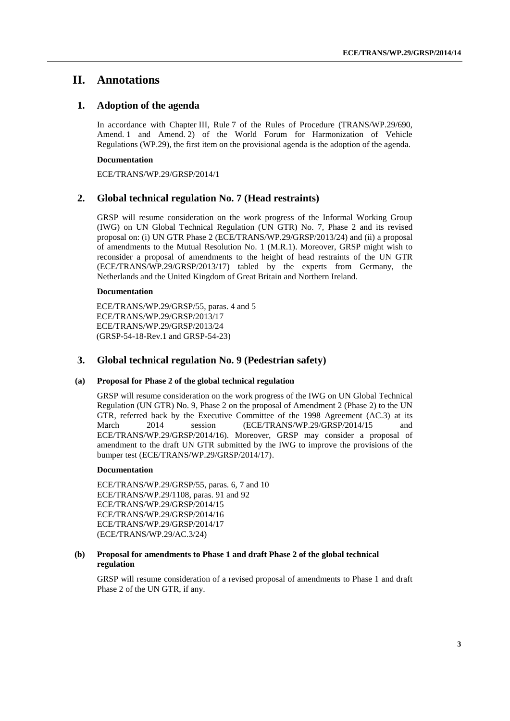### **II. Annotations**

### **1. Adoption of the agenda**

In accordance with Chapter III, Rule 7 of the Rules of Procedure (TRANS/WP.29/690, Amend. 1 and Amend. 2) of the World Forum for Harmonization of Vehicle Regulations (WP.29), the first item on the provisional agenda is the adoption of the agenda.

#### **Documentation**

ECE/TRANS/WP.29/GRSP/2014/1

### **2. Global technical regulation No. 7 (Head restraints)**

GRSP will resume consideration on the work progress of the Informal Working Group (IWG) on UN Global Technical Regulation (UN GTR) No. 7, Phase 2 and its revised proposal on: (i) UN GTR Phase 2 (ECE/TRANS/WP.29/GRSP/2013/24) and (ii) a proposal of amendments to the Mutual Resolution No. 1 (M.R.1). Moreover, GRSP might wish to reconsider a proposal of amendments to the height of head restraints of the UN GTR (ECE/TRANS/WP.29/GRSP/2013/17) tabled by the experts from Germany, the Netherlands and the United Kingdom of Great Britain and Northern Ireland.

#### **Documentation**

ECE/TRANS/WP.29/GRSP/55, paras. 4 and 5 ECE/TRANS/WP.29/GRSP/2013/17 ECE/TRANS/WP.29/GRSP/2013/24 (GRSP-54-18-Rev.1 and GRSP-54-23)

### **3. Global technical regulation No. 9 (Pedestrian safety)**

### **(a) Proposal for Phase 2 of the global technical regulation**

GRSP will resume consideration on the work progress of the IWG on UN Global Technical Regulation (UN GTR) No. 9, Phase 2 on the proposal of Amendment 2 (Phase 2) to the UN GTR, referred back by the Executive Committee of the 1998 Agreement (AC.3) at its March 2014 session (ECE/TRANS/WP.29/GRSP/2014/15 and ECE/TRANS/WP.29/GRSP/2014/16). Moreover, GRSP may consider a proposal of amendment to the draft UN GTR submitted by the IWG to improve the provisions of the bumper test (ECE/TRANS/WP.29/GRSP/2014/17).

#### **Documentation**

ECE/TRANS/WP.29/GRSP/55, paras. 6, 7 and 10 ECE/TRANS/WP.29/1108, paras. 91 and 92 ECE/TRANS/WP.29/GRSP/2014/15 ECE/TRANS/WP.29/GRSP/2014/16 ECE/TRANS/WP.29/GRSP/2014/17 (ECE/TRANS/WP.29/AC.3/24)

### **(b) Proposal for amendments to Phase 1 and draft Phase 2 of the global technical regulation**

GRSP will resume consideration of a revised proposal of amendments to Phase 1 and draft Phase 2 of the UN GTR, if any.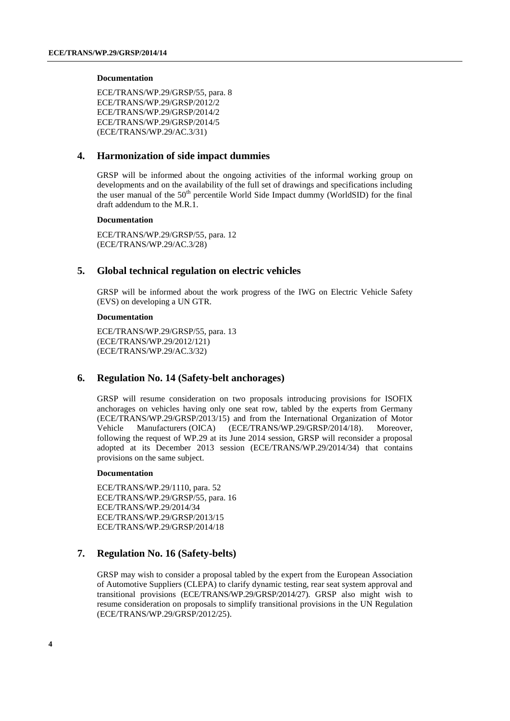#### **Documentation**

ECE/TRANS/WP.29/GRSP/55, para. 8 ECE/TRANS/WP.29/GRSP/2012/2 ECE/TRANS/WP.29/GRSP/2014/2 ECE/TRANS/WP.29/GRSP/2014/5 (ECE/TRANS/WP.29/AC.3/31)

### **4. Harmonization of side impact dummies**

GRSP will be informed about the ongoing activities of the informal working group on developments and on the availability of the full set of drawings and specifications including the user manual of the  $50<sup>th</sup>$  percentile World Side Impact dummy (WorldSID) for the final draft addendum to the M.R.1.

### **Documentation**

ECE/TRANS/WP.29/GRSP/55, para. 12 (ECE/TRANS/WP.29/AC.3/28)

### **5. Global technical regulation on electric vehicles**

GRSP will be informed about the work progress of the IWG on Electric Vehicle Safety (EVS) on developing a UN GTR.

### **Documentation**

ECE/TRANS/WP.29/GRSP/55, para. 13 (ECE/TRANS/WP.29/2012/121) (ECE/TRANS/WP.29/AC.3/32)

### **6. Regulation No. 14 (Safety-belt anchorages)**

GRSP will resume consideration on two proposals introducing provisions for ISOFIX anchorages on vehicles having only one seat row, tabled by the experts from Germany (ECE/TRANS/WP.29/GRSP/2013/15) and from the International Organization of Motor Vehicle Manufacturers (OICA) (ECE/TRANS/WP.29/GRSP/2014/18). Moreover, following the request of WP.29 at its June 2014 session, GRSP will reconsider a proposal adopted at its December 2013 session (ECE/TRANS/WP.29/2014/34) that contains provisions on the same subject.

### **Documentation**

ECE/TRANS/WP.29/1110, para. 52 ECE/TRANS/WP.29/GRSP/55, para. 16 ECE/TRANS/WP.29/2014/34 ECE/TRANS/WP.29/GRSP/2013/15 ECE/TRANS/WP.29/GRSP/2014/18

### **7. Regulation No. 16 (Safety-belts)**

GRSP may wish to consider a proposal tabled by the expert from the European Association of Automotive Suppliers (CLEPA) to clarify dynamic testing, rear seat system approval and transitional provisions (ECE/TRANS/WP.29/GRSP/2014/27). GRSP also might wish to resume consideration on proposals to simplify transitional provisions in the UN Regulation (ECE/TRANS/WP.29/GRSP/2012/25).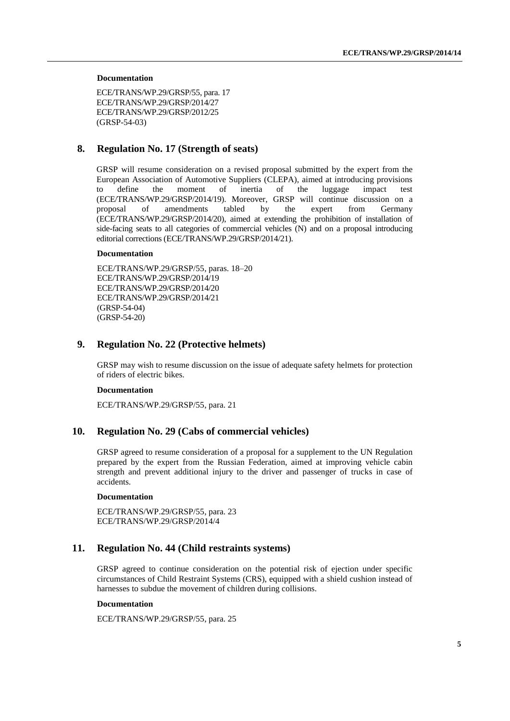#### **Documentation**

ECE/TRANS/WP.29/GRSP/55, para. 17 ECE/TRANS/WP.29/GRSP/2014/27 ECE/TRANS/WP.29/GRSP/2012/25 (GRSP-54-03)

### **8. Regulation No. 17 (Strength of seats)**

GRSP will resume consideration on a revised proposal submitted by the expert from the European Association of Automotive Suppliers (CLEPA), aimed at introducing provisions to define the moment of inertia of the luggage impact test (ECE/TRANS/WP.29/GRSP/2014/19). Moreover, GRSP will continue discussion on a proposal of amendments tabled by the expert from Germany (ECE/TRANS/WP.29/GRSP/2014/20), aimed at extending the prohibition of installation of side-facing seats to all categories of commercial vehicles (N) and on a proposal introducing editorial corrections (ECE/TRANS/WP.29/GRSP/2014/21).

### **Documentation**

ECE/TRANS/WP.29/GRSP/55, paras. 18–20 ECE/TRANS/WP.29/GRSP/2014/19 ECE/TRANS/WP.29/GRSP/2014/20 ECE/TRANS/WP.29/GRSP/2014/21 (GRSP-54-04) (GRSP-54-20)

### **9. Regulation No. 22 (Protective helmets)**

GRSP may wish to resume discussion on the issue of adequate safety helmets for protection of riders of electric bikes.

### **Documentation**

ECE/TRANS/WP.29/GRSP/55, para. 21

### **10. Regulation No. 29 (Cabs of commercial vehicles)**

GRSP agreed to resume consideration of a proposal for a supplement to the UN Regulation prepared by the expert from the Russian Federation, aimed at improving vehicle cabin strength and prevent additional injury to the driver and passenger of trucks in case of accidents.

### **Documentation**

ECE/TRANS/WP.29/GRSP/55, para. 23 ECE/TRANS/WP.29/GRSP/2014/4

### **11. Regulation No. 44 (Child restraints systems)**

GRSP agreed to continue consideration on the potential risk of ejection under specific circumstances of Child Restraint Systems (CRS), equipped with a shield cushion instead of harnesses to subdue the movement of children during collisions.

### **Documentation**

ECE/TRANS/WP.29/GRSP/55, para. 25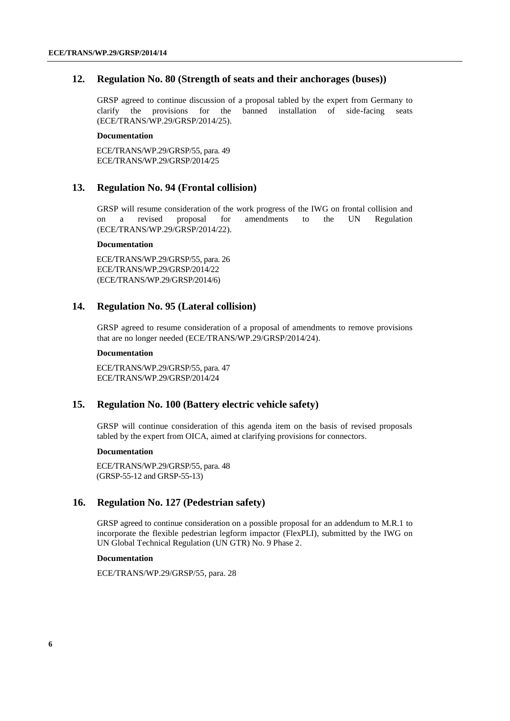### **12. Regulation No. 80 (Strength of seats and their anchorages (buses))**

GRSP agreed to continue discussion of a proposal tabled by the expert from Germany to clarify the provisions for the banned installation of side-facing seats (ECE/TRANS/WP.29/GRSP/2014/25).

### **Documentation**

ECE/TRANS/WP.29/GRSP/55, para. 49 ECE/TRANS/WP.29/GRSP/2014/25

### **13. Regulation No. 94 (Frontal collision)**

GRSP will resume consideration of the work progress of the IWG on frontal collision and on a revised proposal for amendments to the UN Regulation (ECE/TRANS/WP.29/GRSP/2014/22).

### **Documentation**

ECE/TRANS/WP.29/GRSP/55, para. 26 ECE/TRANS/WP.29/GRSP/2014/22 (ECE/TRANS/WP.29/GRSP/2014/6)

### **14. Regulation No. 95 (Lateral collision)**

GRSP agreed to resume consideration of a proposal of amendments to remove provisions that are no longer needed (ECE/TRANS/WP.29/GRSP/2014/24).

### **Documentation**

ECE/TRANS/WP.29/GRSP/55, para. 47 ECE/TRANS/WP.29/GRSP/2014/24

### **15. Regulation No. 100 (Battery electric vehicle safety)**

GRSP will continue consideration of this agenda item on the basis of revised proposals tabled by the expert from OICA, aimed at clarifying provisions for connectors.

### **Documentation**

ECE/TRANS/WP.29/GRSP/55, para. 48 (GRSP-55-12 and GRSP-55-13)

### **16. Regulation No. 127 (Pedestrian safety)**

GRSP agreed to continue consideration on a possible proposal for an addendum to M.R.1 to incorporate the flexible pedestrian legform impactor (FlexPLI), submitted by the IWG on UN Global Technical Regulation (UN GTR) No. 9 Phase 2.

### **Documentation**

ECE/TRANS/WP.29/GRSP/55, para. 28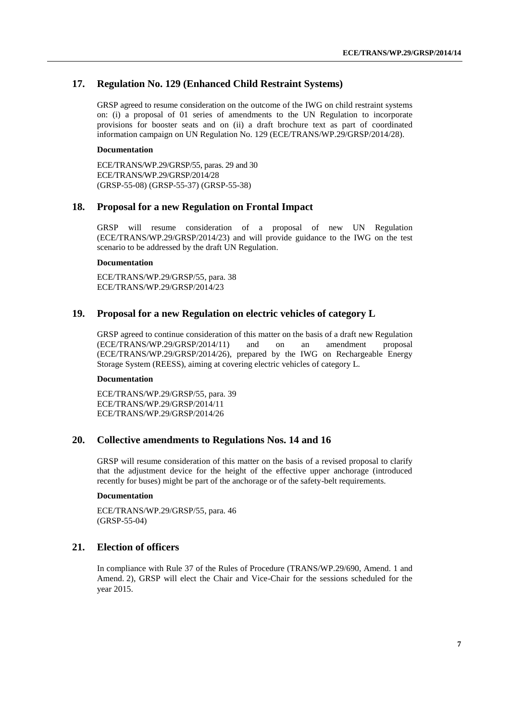### **17. Regulation No. 129 (Enhanced Child Restraint Systems)**

GRSP agreed to resume consideration on the outcome of the IWG on child restraint systems on: (i) a proposal of 01 series of amendments to the UN Regulation to incorporate provisions for booster seats and on (ii) a draft brochure text as part of coordinated information campaign on UN Regulation No. 129 (ECE/TRANS/WP.29/GRSP/2014/28).

#### **Documentation**

ECE/TRANS/WP.29/GRSP/55, paras. 29 and 30 ECE/TRANS/WP.29/GRSP/2014/28 (GRSP-55-08) (GRSP-55-37) (GRSP-55-38)

### **18. Proposal for a new Regulation on Frontal Impact**

GRSP will resume consideration of a proposal of new UN Regulation (ECE/TRANS/WP.29/GRSP/2014/23) and will provide guidance to the IWG on the test scenario to be addressed by the draft UN Regulation.

#### **Documentation**

ECE/TRANS/WP.29/GRSP/55, para. 38 ECE/TRANS/WP.29/GRSP/2014/23

### **19. Proposal for a new Regulation on electric vehicles of category L**

GRSP agreed to continue consideration of this matter on the basis of a draft new Regulation (ECE/TRANS/WP.29/GRSP/2014/11) and on an amendment proposal (ECE/TRANS/WP.29/GRSP/2014/26), prepared by the IWG on Rechargeable Energy Storage System (REESS), aiming at covering electric vehicles of category L.

### **Documentation**

ECE/TRANS/WP.29/GRSP/55, para. 39 ECE/TRANS/WP.29/GRSP/2014/11 ECE/TRANS/WP.29/GRSP/2014/26

### **20. Collective amendments to Regulations Nos. 14 and 16**

GRSP will resume consideration of this matter on the basis of a revised proposal to clarify that the adjustment device for the height of the effective upper anchorage (introduced recently for buses) might be part of the anchorage or of the safety-belt requirements.

#### **Documentation**

ECE/TRANS/WP.29/GRSP/55, para. 46 (GRSP-55-04)

### **21. Election of officers**

In compliance with Rule 37 of the Rules of Procedure (TRANS/WP.29/690, Amend. 1 and Amend. 2), GRSP will elect the Chair and Vice-Chair for the sessions scheduled for the year 2015.